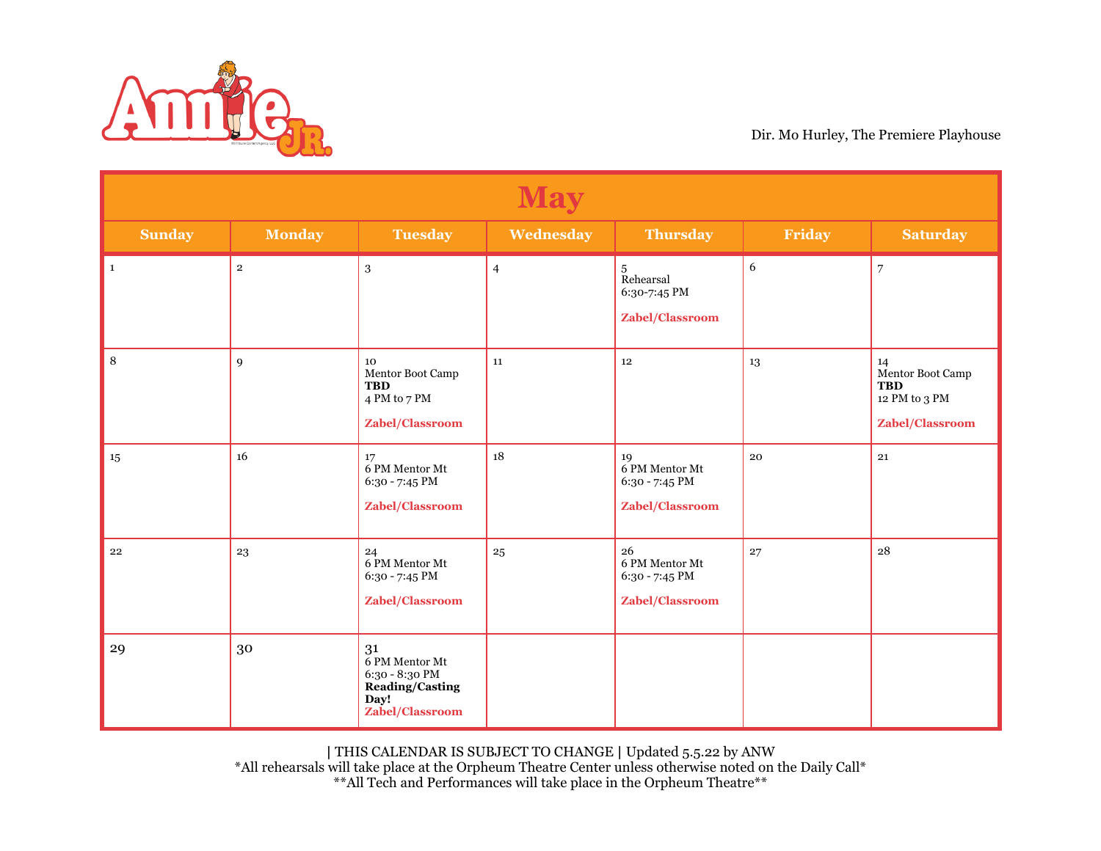

| <b>May</b>    |               |                                                                                             |                |                                                           |                  |                                                                          |  |
|---------------|---------------|---------------------------------------------------------------------------------------------|----------------|-----------------------------------------------------------|------------------|--------------------------------------------------------------------------|--|
| <b>Sunday</b> | <b>Monday</b> | <b>Tuesday</b>                                                                              | Wednesday      | <b>Thursday</b>                                           | Friday           | <b>Saturday</b>                                                          |  |
| $\mathbf 1$   | $\mathbf 2$   | 3                                                                                           | $\overline{4}$ | $^{\rm 5}$ Rehearsal<br>6:30-7:45 PM<br>Zabel/Classroom   | $\boldsymbol{6}$ | $\overline{7}$                                                           |  |
| $\,8\,$       | 9             | 10<br>Mentor Boot Camp<br><b>TBD</b><br>4 PM to 7 PM<br>Zabel/Classroom                     | 11             | 12                                                        | 13               | 14<br>Mentor Boot Camp<br><b>TBD</b><br>12 PM to 3 PM<br>Zabel/Classroom |  |
| $15\,$        | 16            | 17<br>6 PM Mentor Mt<br>6:30 - 7:45 PM<br>Zabel/Classroom                                   | 18             | 19<br>6 PM Mentor Mt<br>6:30 - 7:45 PM<br>Zabel/Classroom | 20               | 21                                                                       |  |
| 22            | 23            | 24<br>6 PM Mentor Mt<br>6:30 - 7:45 PM<br>Zabel/Classroom                                   | 25             | 26<br>6 PM Mentor Mt<br>6:30 - 7:45 PM<br>Zabel/Classroom | 27               | 28                                                                       |  |
| 29            | 30            | 31<br>6 PM Mentor Mt<br>6:30 - 8:30 PM<br><b>Reading/Casting</b><br>Day!<br>Zabel/Classroom |                |                                                           |                  |                                                                          |  |

**|** THIS CALENDAR IS SUBJECT TO CHANGE **|** Updated 5.5.22 by ANW

\*All rehearsals will take place at the Orpheum Theatre Center unless otherwise noted on the Daily Call\* \*\*All Tech and Performances will take place in the Orpheum Theatre\*\*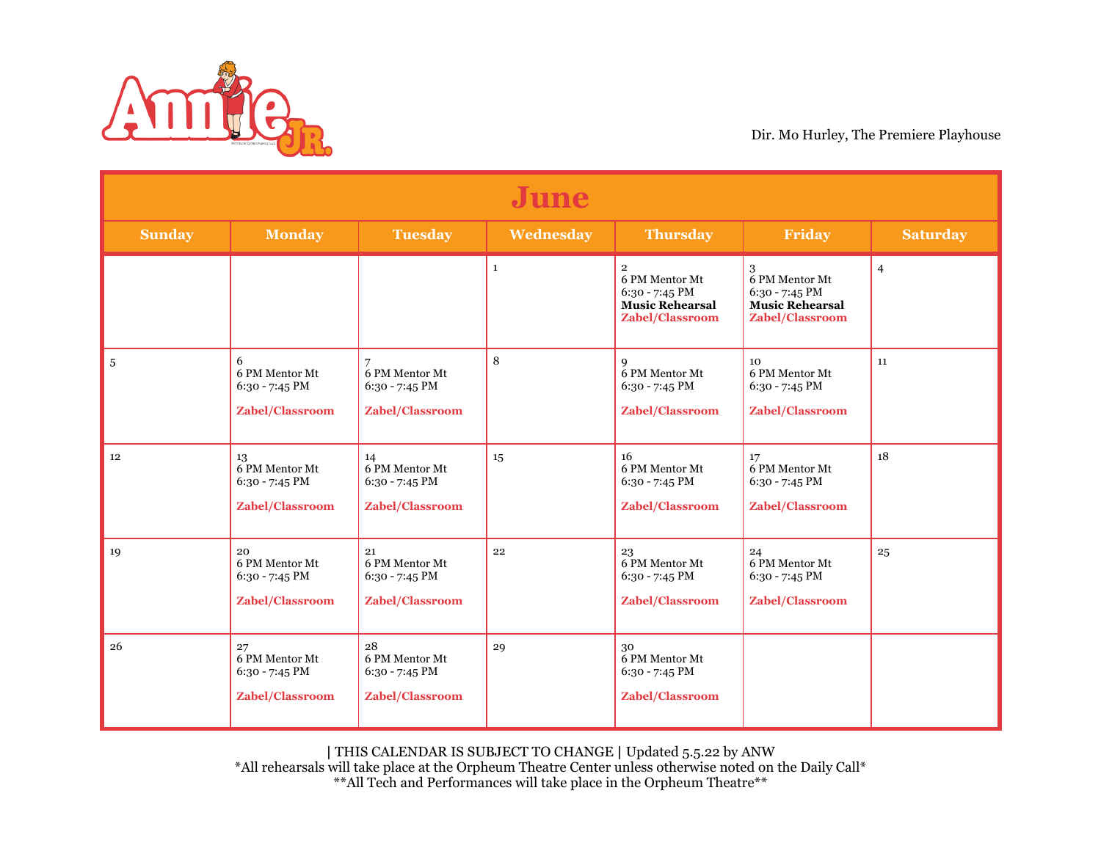

| June          |                                                             |                                                             |              |                                                                                                   |                                                                                      |                 |  |
|---------------|-------------------------------------------------------------|-------------------------------------------------------------|--------------|---------------------------------------------------------------------------------------------------|--------------------------------------------------------------------------------------|-----------------|--|
| <b>Sunday</b> | <b>Monday</b>                                               | <b>Tuesday</b>                                              | Wednesday    | <b>Thursday</b>                                                                                   | Friday                                                                               | <b>Saturday</b> |  |
|               |                                                             |                                                             | $\mathbf{1}$ | $\overline{2}$<br>6 PM Mentor Mt<br>$6:30 - 7:45$ PM<br><b>Music Rehearsal</b><br>Zabel/Classroom | 3<br>6 PM Mentor Mt<br>$6:30 - 7:45$ PM<br><b>Music Rehearsal</b><br>Zabel/Classroom | $\overline{4}$  |  |
| $\sqrt{5}$    | 6<br>6 PM Mentor Mt<br>$6:30 - 7:45$ PM<br>Zabel/Classroom  | 6 PM Mentor Mt<br>$6:30 - 7:45$ PM<br>Zabel/Classroom       | 8            | q<br>6 PM Mentor Mt<br>$6:30 - 7:45$ PM<br>Zabel/Classroom                                        | 10<br>6 PM Mentor Mt<br>$6:30 - 7:45$ PM<br>Zabel/Classroom                          | 11              |  |
| 12            | 13<br>6 PM Mentor Mt<br>6:30 - 7:45 PM<br>Zabel/Classroom   | 14<br>6 PM Mentor Mt<br>$6:30 - 7:45$ PM<br>Zabel/Classroom | 15           | 16<br>6 PM Mentor Mt<br>$6:30 - 7:45$ PM<br>Zabel/Classroom                                       | 17<br>6 PM Mentor Mt<br>6:30 - 7:45 PM<br><b>Zabel/Classroom</b>                     | 18              |  |
| 19            | 20<br>6 PM Mentor Mt<br>$6:30 - 7:45$ PM<br>Zabel/Classroom | 21<br>6 PM Mentor Mt<br>6:30 - 7:45 PM<br>Zabel/Classroom   | 22           | 23<br>6 PM Mentor Mt<br>$6:30 - 7:45$ PM<br>Zabel/Classroom                                       | 24<br>6 PM Mentor Mt<br>6:30 - 7:45 PM<br>Zabel/Classroom                            | 25              |  |
| 26            | 27<br>6 PM Mentor Mt<br>6:30 - 7:45 PM<br>Zabel/Classroom   | 28<br>6 PM Mentor Mt<br>$6:30 - 7:45$ PM<br>Zabel/Classroom | 29           | 30<br>6 PM Mentor Mt<br>$6:30 - 7:45$ PM<br>Zabel/Classroom                                       |                                                                                      |                 |  |

**|** THIS CALENDAR IS SUBJECT TO CHANGE **|** Updated 5.5.22 by ANW

\*All rehearsals will take place at the Orpheum Theatre Center unless otherwise noted on the Daily Call\* \*\*All Tech and Performances will take place in the Orpheum Theatre\*\*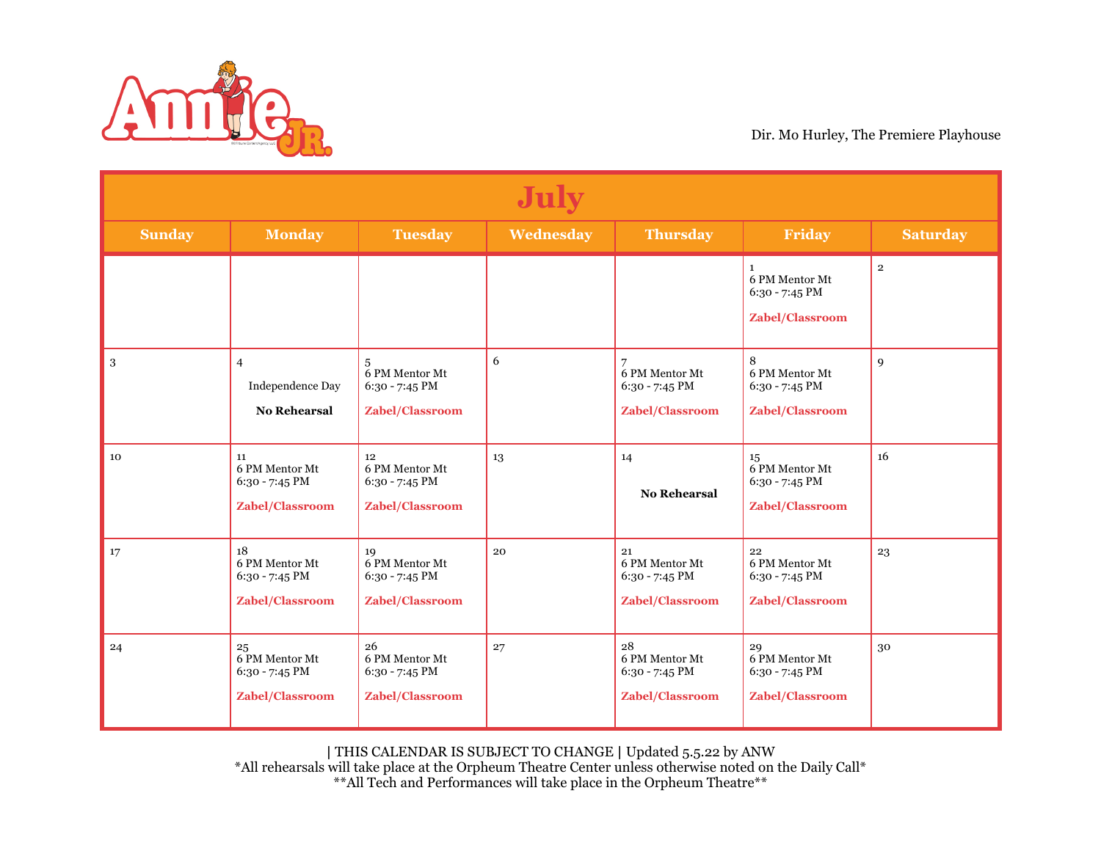

| <b>July</b>   |                                                           |                                                                  |           |                                                                    |                                                                         |                 |  |
|---------------|-----------------------------------------------------------|------------------------------------------------------------------|-----------|--------------------------------------------------------------------|-------------------------------------------------------------------------|-----------------|--|
| <b>Sunday</b> | <b>Monday</b>                                             | <b>Tuesday</b>                                                   | Wednesday | <b>Thursday</b>                                                    | Friday                                                                  | <b>Saturday</b> |  |
|               |                                                           |                                                                  |           |                                                                    | 1<br>6 PM Mentor Mt<br>6:30 - 7:45 PM<br>Zabel/Classroom                | $\mathbf{2}$    |  |
| $\,3$         | $\overline{4}$<br>Independence Day<br><b>No Rehearsal</b> | 5<br>6 PM Mentor Mt<br>$6:30 - 7:45$ PM<br>Zabel/Classroom       | 6         | 6 PM Mentor Mt<br>$6:30 - 7:45$ PM<br>Zabel/Classroom              | 8<br>6 PM Mentor Mt<br>$6:30 - 7:45$ PM<br>Zabel/Classroom              | 9               |  |
| 10            | 11<br>6 PM Mentor Mt<br>6:30 - 7:45 PM<br>Zabel/Classroom | 12<br>6 PM Mentor Mt<br>6:30 - 7:45 PM<br>Zabel/Classroom        | 13        | 14<br><b>No Rehearsal</b>                                          | 15 <sub>15</sub><br>6 PM Mentor Mt<br>6:30 - 7:45 PM<br>Zabel/Classroom | 16              |  |
| 17            | 18<br>6 PM Mentor Mt<br>6:30 - 7:45 PM<br>Zabel/Classroom | 19<br>6 PM Mentor Mt<br>6:30 - 7:45 PM<br>Zabel/Classroom        | 20        | 21<br>6 PM Mentor Mt<br>$6:30 - 7:45$ PM<br><b>Zabel/Classroom</b> | 22<br>6 PM Mentor Mt<br>6:30 - 7:45 PM<br><b>Zabel/Classroom</b>        | 23              |  |
| 24            | 25<br>6 PM Mentor Mt<br>6:30 - 7:45 PM<br>Zabel/Classroom | 26<br>6 PM Mentor Mt<br>6:30 - 7:45 PM<br><b>Zabel/Classroom</b> | 27        | 28<br>6 PM Mentor Mt<br>6:30 - 7:45 PM<br>Zabel/Classroom          | 29<br>6 PM Mentor Mt<br>6:30 - 7:45 PM<br><b>Zabel/Classroom</b>        | 30              |  |

**|** THIS CALENDAR IS SUBJECT TO CHANGE **|** Updated 5.5.22 by ANW

\*All rehearsals will take place at the Orpheum Theatre Center unless otherwise noted on the Daily Call\* \*\*All Tech and Performances will take place in the Orpheum Theatre\*\*